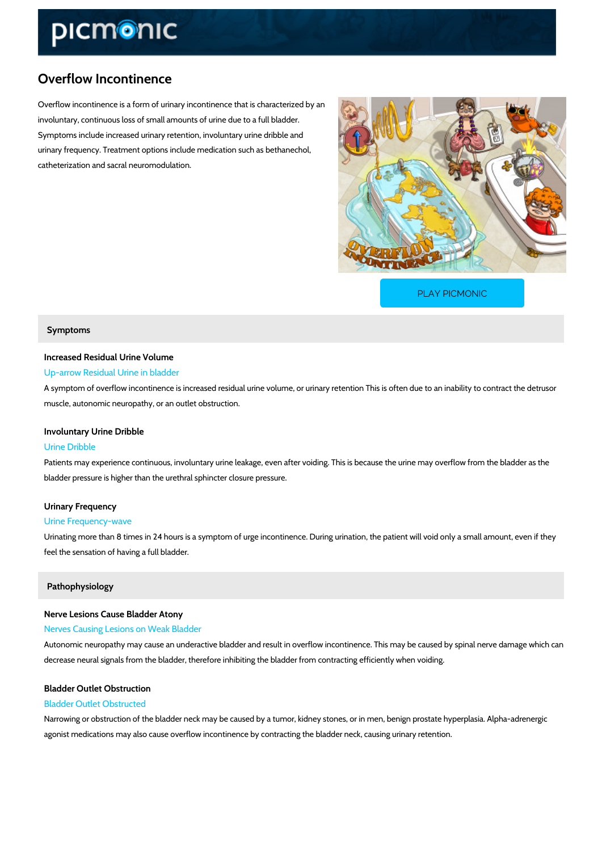# Overflow Incontinence

Overflow incontinence is a form of urinary incontinence that is characterized by an involuntary, continuous loss of small amounts of urine due to a full bladder. Symptoms include increased urinary retention, involuntary urine dribble and urinary frequency. Treatment options include medication such as bethanechol, catheterization and sacral neuromodulation.

[PLAY PICMONIC](https://www.picmonic.com/learn/overflow-incontinence_2426?utm_source=downloadable_content&utm_medium=distributedcontent&utm_campaign=pathways_pdf&utm_content=Overflow Incontinence&utm_ad_group=leads&utm_market=all)

## Symptoms

# Increased Residual Urine Volume

# Up-arrow Residual Urine in bladder

A symptom of overflow incontinence is increased residual urine volume, or urinary retention T muscle, autonomic neuropathy, or an outlet obstruction.

## Involuntary Urine Dribble

### Urine Dribble

Patients may experience continuous, involuntary urine leakage, even after voiding. This is be bladder pressure is higher than the urethral sphincter closure pressure.

# Urinary Frequency

### Urine Frequency-wave

Urinating more than 8 times in 24 hours is a symptom of urge incontinence. During urination, feel the sensation of having a full bladder.

### Pathophysiology

# Nerve Lesions Cause Bladder Atony

#### Nerves Causing Lesions on Weak Bladder

Autonomic neuropathy may cause an underactive bladder and result in overflow incontinence. decrease neural signals from the bladder, therefore inhibiting the bladder from contracting ef

# Bladder Outlet Obstruction

# Bladder Outlet Obstructed

Narrowing or obstruction of the bladder neck may be caused by a tumor, kidney stones, or in i agonist medications may also cause overflow incontinence by contracting the bladder neck, ca